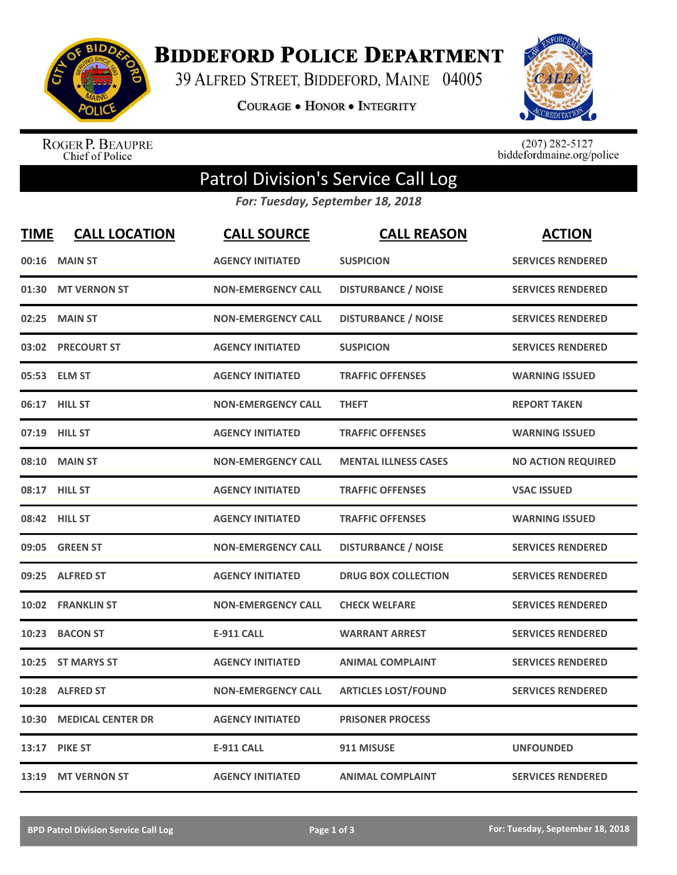

**BIDDEFORD POLICE DEPARTMENT** 

39 ALFRED STREET, BIDDEFORD, MAINE 04005

**COURAGE . HONOR . INTEGRITY** 



ROGER P. BEAUPRE<br>Chief of Police

 $(207)$  282-5127<br>biddefordmaine.org/police

## Patrol Division's Service Call Log

*For: Tuesday, September 18, 2018*

| <b>TIME</b> | <b>CALL LOCATION</b>     | <b>CALL SOURCE</b>        | <b>CALL REASON</b>          | <b>ACTION</b>             |
|-------------|--------------------------|---------------------------|-----------------------------|---------------------------|
| 00:16       | <b>MAIN ST</b>           | <b>AGENCY INITIATED</b>   | <b>SUSPICION</b>            | <b>SERVICES RENDERED</b>  |
|             | 01:30 MT VERNON ST       | <b>NON-EMERGENCY CALL</b> | <b>DISTURBANCE / NOISE</b>  | <b>SERVICES RENDERED</b>  |
| 02:25       | <b>MAIN ST</b>           | <b>NON-EMERGENCY CALL</b> | <b>DISTURBANCE / NOISE</b>  | <b>SERVICES RENDERED</b>  |
|             | 03:02 PRECOURT ST        | <b>AGENCY INITIATED</b>   | <b>SUSPICION</b>            | <b>SERVICES RENDERED</b>  |
|             | 05:53 ELM ST             | <b>AGENCY INITIATED</b>   | <b>TRAFFIC OFFENSES</b>     | <b>WARNING ISSUED</b>     |
|             | 06:17 HILL ST            | <b>NON-EMERGENCY CALL</b> | <b>THEFT</b>                | <b>REPORT TAKEN</b>       |
|             | 07:19 HILL ST            | <b>AGENCY INITIATED</b>   | <b>TRAFFIC OFFENSES</b>     | <b>WARNING ISSUED</b>     |
| 08:10       | <b>MAIN ST</b>           | <b>NON-EMERGENCY CALL</b> | <b>MENTAL ILLNESS CASES</b> | <b>NO ACTION REQUIRED</b> |
|             | 08:17 HILL ST            | <b>AGENCY INITIATED</b>   | <b>TRAFFIC OFFENSES</b>     | <b>VSAC ISSUED</b>        |
|             | 08:42 HILL ST            | <b>AGENCY INITIATED</b>   | <b>TRAFFIC OFFENSES</b>     | <b>WARNING ISSUED</b>     |
|             | 09:05 GREEN ST           | <b>NON-EMERGENCY CALL</b> | <b>DISTURBANCE / NOISE</b>  | <b>SERVICES RENDERED</b>  |
|             | 09:25 ALFRED ST          | <b>AGENCY INITIATED</b>   | <b>DRUG BOX COLLECTION</b>  | <b>SERVICES RENDERED</b>  |
| 10:02       | <b>FRANKLIN ST</b>       | <b>NON-EMERGENCY CALL</b> | <b>CHECK WELFARE</b>        | <b>SERVICES RENDERED</b>  |
| 10:23       | <b>BACON ST</b>          | <b>E-911 CALL</b>         | <b>WARRANT ARREST</b>       | <b>SERVICES RENDERED</b>  |
|             | 10:25 ST MARYS ST        | <b>AGENCY INITIATED</b>   | <b>ANIMAL COMPLAINT</b>     | <b>SERVICES RENDERED</b>  |
|             | 10:28 ALFRED ST          | <b>NON-EMERGENCY CALL</b> | <b>ARTICLES LOST/FOUND</b>  | <b>SERVICES RENDERED</b>  |
| 10:30       | <b>MEDICAL CENTER DR</b> | <b>AGENCY INITIATED</b>   | <b>PRISONER PROCESS</b>     |                           |
|             | 13:17 PIKE ST            | <b>E-911 CALL</b>         | 911 MISUSE                  | <b>UNFOUNDED</b>          |
|             | 13:19 MT VERNON ST       | <b>AGENCY INITIATED</b>   | <b>ANIMAL COMPLAINT</b>     | <b>SERVICES RENDERED</b>  |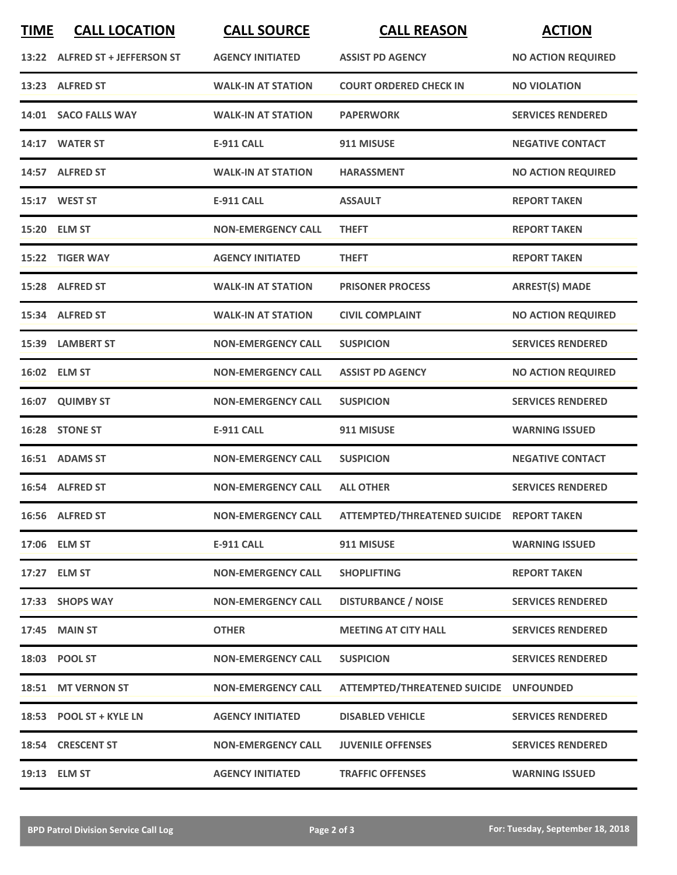| <b>TIME</b> | <b>CALL LOCATION</b>           | <b>CALL SOURCE</b>        | <b>CALL REASON</b>                        | <b>ACTION</b>             |
|-------------|--------------------------------|---------------------------|-------------------------------------------|---------------------------|
|             | 13:22 ALFRED ST + JEFFERSON ST | <b>AGENCY INITIATED</b>   | <b>ASSIST PD AGENCY</b>                   | <b>NO ACTION REQUIRED</b> |
|             | 13:23 ALFRED ST                | <b>WALK-IN AT STATION</b> | <b>COURT ORDERED CHECK IN</b>             | <b>NO VIOLATION</b>       |
|             | 14:01 SACO FALLS WAY           | <b>WALK-IN AT STATION</b> | <b>PAPERWORK</b>                          | <b>SERVICES RENDERED</b>  |
|             | 14:17 WATER ST                 | <b>E-911 CALL</b>         | 911 MISUSE                                | <b>NEGATIVE CONTACT</b>   |
|             | 14:57 ALFRED ST                | <b>WALK-IN AT STATION</b> | <b>HARASSMENT</b>                         | <b>NO ACTION REQUIRED</b> |
|             | 15:17 WEST ST                  | <b>E-911 CALL</b>         | <b>ASSAULT</b>                            | <b>REPORT TAKEN</b>       |
|             | 15:20 ELM ST                   | <b>NON-EMERGENCY CALL</b> | <b>THEFT</b>                              | <b>REPORT TAKEN</b>       |
| 15:22       | <b>TIGER WAY</b>               | <b>AGENCY INITIATED</b>   | <b>THEFT</b>                              | <b>REPORT TAKEN</b>       |
|             | 15:28 ALFRED ST                | <b>WALK-IN AT STATION</b> | <b>PRISONER PROCESS</b>                   | <b>ARREST(S) MADE</b>     |
|             | 15:34 ALFRED ST                | <b>WALK-IN AT STATION</b> | <b>CIVIL COMPLAINT</b>                    | <b>NO ACTION REQUIRED</b> |
|             | 15:39 LAMBERT ST               | <b>NON-EMERGENCY CALL</b> | <b>SUSPICION</b>                          | <b>SERVICES RENDERED</b>  |
|             | 16:02 ELM ST                   | <b>NON-EMERGENCY CALL</b> | <b>ASSIST PD AGENCY</b>                   | <b>NO ACTION REQUIRED</b> |
|             | 16:07 QUIMBY ST                | <b>NON-EMERGENCY CALL</b> | <b>SUSPICION</b>                          | <b>SERVICES RENDERED</b>  |
|             | 16:28 STONE ST                 | <b>E-911 CALL</b>         | 911 MISUSE                                | <b>WARNING ISSUED</b>     |
|             | 16:51 ADAMS ST                 | <b>NON-EMERGENCY CALL</b> | <b>SUSPICION</b>                          | <b>NEGATIVE CONTACT</b>   |
|             | 16:54 ALFRED ST                | <b>NON-EMERGENCY CALL</b> | <b>ALL OTHER</b>                          | <b>SERVICES RENDERED</b>  |
|             | 16:56 ALFRED ST                | <b>NON-EMERGENCY CALL</b> | ATTEMPTED/THREATENED SUICIDE REPORT TAKEN |                           |
|             | 17:06 ELM ST                   | <b>E-911 CALL</b>         | 911 MISUSE                                | <b>WARNING ISSUED</b>     |
|             | 17:27 ELM ST                   | <b>NON-EMERGENCY CALL</b> | <b>SHOPLIFTING</b>                        | <b>REPORT TAKEN</b>       |
|             | 17:33 SHOPS WAY                | <b>NON-EMERGENCY CALL</b> | <b>DISTURBANCE / NOISE</b>                | <b>SERVICES RENDERED</b>  |
|             | 17:45 MAIN ST                  | <b>OTHER</b>              | <b>MEETING AT CITY HALL</b>               | <b>SERVICES RENDERED</b>  |
|             | 18:03 POOL ST                  | <b>NON-EMERGENCY CALL</b> | <b>SUSPICION</b>                          | <b>SERVICES RENDERED</b>  |
|             | 18:51 MT VERNON ST             | <b>NON-EMERGENCY CALL</b> | ATTEMPTED/THREATENED SUICIDE UNFOUNDED    |                           |
|             | 18:53 POOL ST + KYLE LN        | <b>AGENCY INITIATED</b>   | <b>DISABLED VEHICLE</b>                   | <b>SERVICES RENDERED</b>  |
|             | 18:54 CRESCENT ST              | <b>NON-EMERGENCY CALL</b> | <b>JUVENILE OFFENSES</b>                  | <b>SERVICES RENDERED</b>  |
|             | 19:13 ELM ST                   | <b>AGENCY INITIATED</b>   | <b>TRAFFIC OFFENSES</b>                   | <b>WARNING ISSUED</b>     |